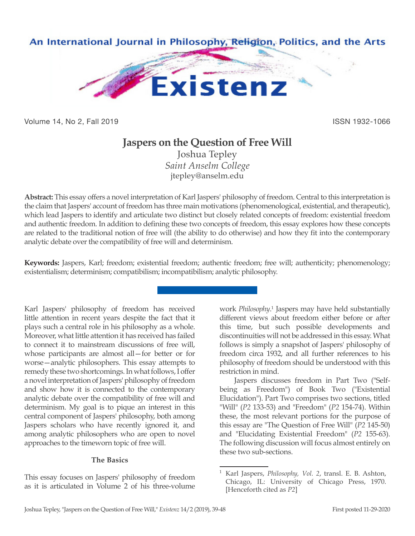

Volume 14, No 2, Fall 2019 ISSN 1932-1066

# **Jaspers on the Question of Free Will**

Joshua Tepley *Saint Anselm College* jtepley@anselm.edu

**Abstract:** This essay offers a novel interpretation of Karl Jaspers' philosophy of freedom. Central to this interpretation is the claim that Jaspers' account of freedom has three main motivations (phenomenological, existential, and therapeutic), which lead Jaspers to identify and articulate two distinct but closely related concepts of freedom: existential freedom and authentic freedom. In addition to defining these two concepts of freedom, this essay explores how these concepts are related to the traditional notion of free will (the ability to do otherwise) and how they fit into the contemporary analytic debate over the compatibility of free will and determinism.

**Keywords:** Jaspers, Karl; freedom; existential freedom; authentic freedom; free will; authenticity; phenomenology; existentialism; determinism; compatibilism; incompatibilism; analytic philosophy.

Karl Jaspers' philosophy of freedom has received little attention in recent years despite the fact that it plays such a central role in his philosophy as a whole. Moreover, what little attention it has received has failed to connect it to mainstream discussions of free will, whose participants are almost all—for better or for worse—analytic philosophers. This essay attempts to remedy these two shortcomings. In what follows, I offer a novel interpretation of Jaspers' philosophy of freedom and show how it is connected to the contemporary analytic debate over the compatibility of free will and determinism. My goal is to pique an interest in this central component of Jaspers' philosophy, both among Jaspers scholars who have recently ignored it, and among analytic philosophers who are open to novel approaches to the timeworn topic of free will.

# **The Basics**

This essay focuses on Jaspers' philosophy of freedom as it is articulated in Volume 2 of his three-volume

work *Philosophy*. 1 Jaspers may have held substantially different views about freedom either before or after this time, but such possible developments and discontinuities will not be addressed in this essay. What follows is simply a snapshot of Jaspers' philosophy of freedom circa 1932, and all further references to his philosophy of freedom should be understood with this restriction in mind.

Jaspers discusses freedom in Part Two ("Selfbeing as Freedom") of Book Two ("Existential Elucidation"). Part Two comprises two sections, titled "Will" (*P2* 133-53) and "Freedom" (*P2* 154-74). Within these, the most relevant portions for the purpose of this essay are "The Question of Free Will" (*P2* 145-50) and "Elucidating Existential Freedom" (*P2* 155-63). The following discussion will focus almost entirely on these two sub-sections.

<sup>1</sup> Karl Jaspers, *Philosophy, Vol. 2*, transl. E. B. Ashton, Chicago, IL: University of Chicago Press, 1970. [Henceforth cited as *P2*]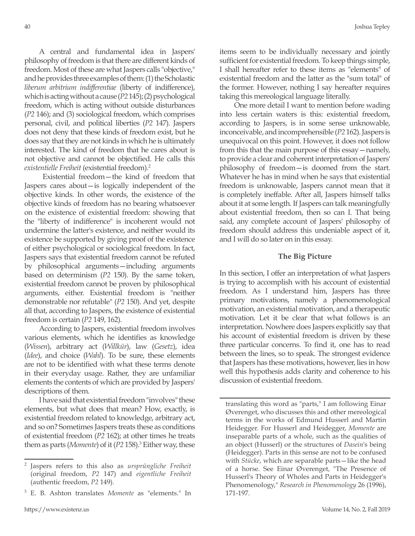A central and fundamental idea in Jaspers' philosophy of freedom is that there are different kinds of freedom. Most of these are what Jaspers calls "objective," and he provides three examples of them: (1) the Scholastic *liberum arbitrium indifferentiae* (liberty of indifference), which is acting without a cause (*P2* 145); (2) psychological freedom, which is acting without outside disturbances (*P2* 146); and (3) sociological freedom, which comprises personal, civil, and political liberties (*P2* 147). Jaspers does not deny that these kinds of freedom exist, but he does say that they are not kinds in which he is ultimately interested. The kind of freedom that he cares about is not objective and cannot be objectified. He calls this *existentielle Freiheit* (existential freedom).2

 Existential freedom—the kind of freedom that Jaspers cares about—is logically independent of the objective kinds. In other words, the existence of the objective kinds of freedom has no bearing whatsoever on the existence of existential freedom: showing that the "liberty of indifference" is incoherent would not undermine the latter's existence, and neither would its existence be supported by giving proof of the existence of either psychological or sociological freedom. In fact, Jaspers says that existential freedom cannot be refuted by philosophical arguments—including arguments based on determinism (*P2* 150). By the same token, existential freedom cannot be proven by philosophical arguments, either. Existential freedom is "neither demonstrable nor refutable" (*P2* 150). And yet, despite all that, according to Jaspers, the existence of existential freedom is certain (*P2* 149, 162).

According to Jaspers, existential freedom involves various elements, which he identifies as knowledge (*Wissen*), arbitrary act (*Willkür*), law (*Gesetz*), idea (*Idee*), and choice (*Wahl*). To be sure, these elements are not to be identified with what these terms denote in their everyday usage. Rather, they are unfamiliar elements the contents of which are provided by Jaspers' descriptions of them.

I have said that existential freedom "involves" these elements, but what does that mean? How, exactly, is existential freedom related to knowledge, arbitrary act, and so on? Sometimes Jaspers treats these as conditions of existential freedom (*P2* 162); at other times he treats them as parts (*Momente*) of it (*P2* 158).<sup>3</sup> Either way, these items seem to be individually necessary and jointly sufficient for existential freedom. To keep things simple, I shall hereafter refer to these items as "elements" of existential freedom and the latter as the "sum total" of the former. However, nothing I say hereafter requires taking this mereological language literally.

One more detail I want to mention before wading into less certain waters is this: existential freedom, according to Jaspers, is in some sense unknowable, inconceivable, and incomprehensible (*P2* 162). Jaspers is unequivocal on this point. However, it does not follow from this that the main purpose of this essay—namely, to provide a clear and coherent interpretation of Jaspers' philosophy of freedom—is doomed from the start. Whatever he has in mind when he says that existential freedom is unknowable, Jaspers cannot mean that it is completely ineffable. After all, Jaspers himself talks about it at some length. If Jaspers can talk meaningfully about existential freedom, then so can I. That being said, any complete account of Jaspers' philosophy of freedom should address this undeniable aspect of it, and I will do so later on in this essay.

# **The Big Picture**

In this section, I offer an interpretation of what Jaspers is trying to accomplish with his account of existential freedom. As I understand him, Jaspers has three primary motivations, namely a phenomenological motivation, an existential motivation, and a therapeutic motivation. Let it be clear that what follows is an interpretation. Nowhere does Jaspers explicitly say that his account of existential freedom is driven by these three particular concerns. To find it, one has to read between the lines, so to speak. The strongest evidence that Jaspers has these motivations, however, lies in how well this hypothesis adds clarity and coherence to his discussion of existential freedom.

translating this word as "parts," I am following Einar Øverenget, who discusses this and other mereological terms in the works of Edmund Husserl and Martin Heidegger. For Husserl and Heidegger, *Momente* are inseparable parts of a whole, such as the qualities of an object (Husserl) or the structures of *Dasein*'s being (Heidegger). Parts in this sense are not to be confused with *Stücke*, which are separable parts—like the head of a horse. See Einar Øverenget, "The Presence of Husserl's Theory of Wholes and Parts in Heidegger's Phenomenology," *Research in Phenomenology* 26 (1996), 171-197.

<sup>2</sup> Jaspers refers to this also as *ursprüngliche Freiheit* (original freedom, *P2* 147) and *eigentliche Freiheit* (authentic freedom, *P2* 149).

<sup>3</sup> E. B. Ashton translates *Momente* as "elements." In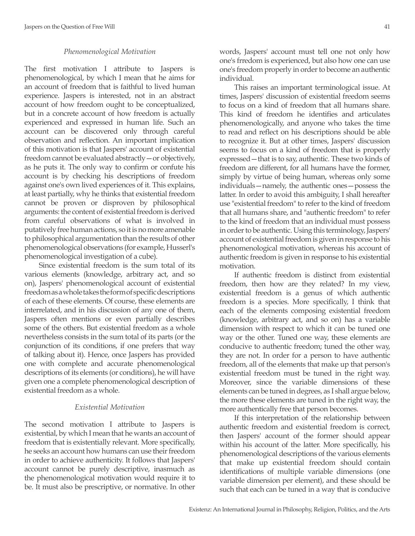# *Phenomenological Motivation*

The first motivation I attribute to Jaspers is phenomenological, by which I mean that he aims for an account of freedom that is faithful to lived human experience. Jaspers is interested, not in an abstract account of how freedom ought to be conceptualized, but in a concrete account of how freedom is actually experienced and expressed in human life. Such an account can be discovered only through careful observation and reflection. An important implication of this motivation is that Jaspers' account of existential freedom cannot be evaluated abstractly—or objectively, as he puts it. The only way to confirm or confute his account is by checking his descriptions of freedom against one's own lived experiences of it. This explains, at least partially, why he thinks that existential freedom cannot be proven or disproven by philosophical arguments: the content of existential freedom is derived from careful observations of what is involved in putatively free human actions, so it is no more amenable to philosophical argumentation than the results of other phenomenological observations (for example, Husserl's phenomenological investigation of a cube).

Since existential freedom is the sum total of its various elements (knowledge, arbitrary act, and so on), Jaspers' phenomenological account of existential freedom as a whole takes the form of specific descriptions of each of these elements. Of course, these elements are interrelated, and in his discussion of any one of them, Jaspers often mentions or even partially describes some of the others. But existential freedom as a whole nevertheless consists in the sum total of its parts (or the conjunction of its conditions, if one prefers that way of talking about it). Hence, once Jaspers has provided one with complete and accurate phenomenological descriptions of its elements (or conditions), he will have given one a complete phenomenological description of existential freedom as a whole.

# *Existential Motivation*

The second motivation I attribute to Jaspers is existential, by which I mean that he wants an account of freedom that is existentially relevant. More specifically, he seeks an account how humans can use their freedom in order to achieve authenticity. It follows that Jaspers' account cannot be purely descriptive, inasmuch as the phenomenological motivation would require it to be. It must also be prescriptive, or normative. In other words, Jaspers' account must tell one not only how one's frredom is experienced, but also how one can use one's freedom properly in order to become an authentic individual.

This raises an important terminological issue. At times, Jaspers' discussion of existential freedom seems to focus on a kind of freedom that all humans share. This kind of freedom he identifies and articulates phenomenologically, and anyone who takes the time to read and reflect on his descriptions should be able to recognize it. But at other times, Jaspers' discussion seems to focus on a kind of freedom that is properly expressed—that is to say, authentic. These two kinds of freedom are different, for all humans have the former, simply by virtue of being human, whereas only some individuals—namely, the authentic ones—possess the latter. In order to avoid this ambiguity, I shall hereafter use "existential freedom" to refer to the kind of freedom that all humans share, and "authentic freedom" to refer to the kind of freedom that an individual must possess in order to be authentic. Using this terminology, Jaspers' account of existential freedom is given in response to his phenomenological motivation, whereas his account of authentic freedom is given in response to his existential motivation.

If authentic freedom is distinct from existential freedom, then how are they related? In my view, existential freedom is a genus of which authentic freedom is a species. More specifically, I think that each of the elements composing existential freedom (knowledge, arbitrary act, and so on) has a variable dimension with respect to which it can be tuned one way or the other. Tuned one way, these elements are conducive to authentic freedom; tuned the other way, they are not. In order for a person to have authentic freedom, all of the elements that make up that person's existential freedom must be tuned in the right way. Moreover, since the variable dimensions of these elements can be tuned in degrees, as I shall argue below, the more these elements are tuned in the right way, the more authentically free that person becomes.

If this interpretation of the relationship between authentic freedom and existential freedom is correct, then Jaspers' account of the former should appear within his account of the latter. More specifically, his phenomenological descriptions of the various elements that make up existential freedom should contain identifications of multiple variable dimensions (one variable dimension per element), and these should be such that each can be tuned in a way that is conducive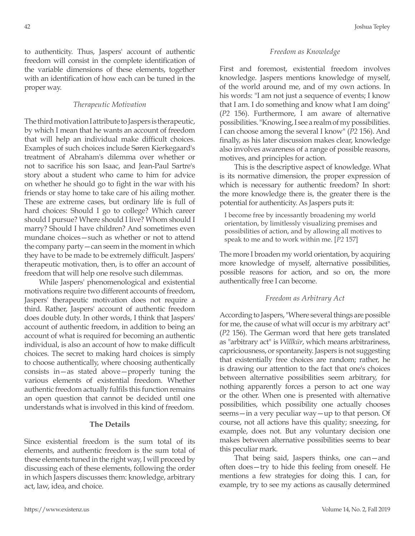to authenticity. Thus, Jaspers' account of authentic freedom will consist in the complete identification of the variable dimensions of these elements, together with an identification of how each can be tuned in the proper way.

#### *Therapeutic Motivation*

The third motivation I attribute to Jaspers is therapeutic, by which I mean that he wants an account of freedom that will help an individual make difficult choices. Examples of such choices include Søren Kierkegaard's treatment of Abraham's dilemma over whether or not to sacrifice his son Isaac, and Jean-Paul Sartre's story about a student who came to him for advice on whether he should go to fight in the war with his friends or stay home to take care of his ailing mother. These are extreme cases, but ordinary life is full of hard choices: Should I go to college? Which career should I pursue? Where should I live? Whom should I marry? Should I have children? And sometimes even mundane choices—such as whether or not to attend the company party—can seem in the moment in which they have to be made to be extremely difficult. Jaspers' therapeutic motivation, then, is to offer an account of freedom that will help one resolve such dilemmas.

While Jaspers' phenomenological and existential motivations require two different accounts of freedom, Jaspers' therapeutic motivation does not require a third. Rather, Jaspers' account of authentic freedom does double duty. In other words, I think that Jaspers' account of authentic freedom, in addition to being an account of what is required for becoming an authentic individual, is also an account of how to make difficult choices. The secret to making hard choices is simply to choose authentically, where choosing authentically consists in—as stated above—properly tuning the various elements of existential freedom. Whether authentic freedom actually fulfils this function remains an open question that cannot be decided until one understands what is involved in this kind of freedom.

# **The Details**

Since existential freedom is the sum total of its elements, and authentic freedom is the sum total of these elements tuned in the right way, I will proceed by discussing each of these elements, following the order in which Jaspers discusses them: knowledge, arbitrary act, law, idea, and choice.

#### *Freedom as Knowledge*

First and foremost, existential freedom involves knowledge. Jaspers mentions knowledge of myself, of the world around me, and of my own actions. In his words: "I am not just a sequence of events; I know that I am. I do something and know what I am doing" (*P2* 156). Furthermore, I am aware of alternative possibilities. "Knowing, I see a realm of my possibilities. I can choose among the several I know" (*P2* 156). And finally, as his later discussion makes clear, knowledge also involves awareness of a range of possible reasons, motives, and principles for action.

This is the descriptive aspect of knowledge. What is its normative dimension, the proper expression of which is necessary for authentic freedom? In short: the more knowledge there is, the greater there is the potential for authenticity. As Jaspers puts it:

I become free by incessantly broadening my world orientation, by limitlessly visualizing premises and possibilities of action, and by allowing all motives to speak to me and to work within me. [*P2* 157]

The more I broaden my world orientation, by acquiring more knowledge of myself, alternative possibilities, possible reasons for action, and so on, the more authentically free I can become.

#### *Freedom as Arbitrary Act*

According to Jaspers, "Where several things are possible for me, the cause of what will occur is my arbitrary act" (*P2* 156). The German word that here gets translated as "arbitrary act" is *Willkür*, which means arbitrariness, capriciousness, or spontaneity. Jaspers is not suggesting that existentially free choices are random; rather, he is drawing our attention to the fact that one's choices between alternative possibilities seem arbitrary, for nothing apparently forces a person to act one way or the other. When one is presented with alternative possibilities, which possibility one actually chooses seems—in a very peculiar way—up to that person. Of course, not all actions have this quality; sneezing, for example, does not. But any voluntary decision one makes between alternative possibilities seems to bear this peculiar mark.

That being said, Jaspers thinks, one can—and often does—try to hide this feeling from oneself. He mentions a few strategies for doing this. I can, for example, try to see my actions as causally determined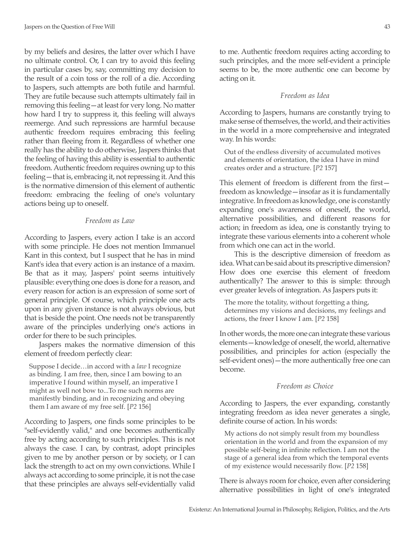by my beliefs and desires, the latter over which I have no ultimate control. Or, I can try to avoid this feeling in particular cases by, say, committing my decision to the result of a coin toss or the roll of a die. According to Jaspers, such attempts are both futile and harmful. They are futile because such attempts ultimately fail in removing this feeling—at least for very long. No matter how hard I try to suppress it, this feeling will always reemerge. And such repressions are harmful because authentic freedom requires embracing this feeling rather than fleeing from it. Regardless of whether one really has the ability to do otherwise, Jaspers thinks that the feeling of having this ability is essential to authentic freedom. Authentic freedom requires owning up to this feeling—that is, embracing it, not repressing it. And this is the normative dimension of this element of authentic freedom: embracing the feeling of one's voluntary actions being up to oneself.

# *Freedom as Law*

According to Jaspers, every action I take is an accord with some principle. He does not mention Immanuel Kant in this context, but I suspect that he has in mind Kant's idea that every action is an instance of a maxim. Be that as it may, Jaspers' point seems intuitively plausible: everything one does is done for a reason, and every reason for action is an expression of some sort of general principle. Of course, which principle one acts upon in any given instance is not always obvious, but that is beside the point. One needs not be transparently aware of the principles underlying one's actions in order for there to be such principles.

Jaspers makes the normative dimension of this element of freedom perfectly clear:

Suppose I decide…in accord with a *law* I recognize as binding. I am free, then, since I am bowing to an imperative I found within myself, an imperative I might as well not bow to...To me such norms are manifestly binding, and in recognizing and obeying them I am aware of my free self. [*P2* 156]

According to Jaspers, one finds some principles to be "self-evidently valid," and one becomes authentically free by acting according to such principles. This is not always the case. I can, by contrast, adopt principles given to me by another person or by society, or I can lack the strength to act on my own convictions. While I always act according to some principle, it is not the case that these principles are always self-evidentially valid to me. Authentic freedom requires acting according to such principles, and the more self-evident a principle seems to be, the more authentic one can become by acting on it.

# *Freedom as Idea*

According to Jaspers, humans are constantly trying to make sense of themselves, the world, and their activities in the world in a more comprehensive and integrated way. In his words:

Out of the endless diversity of accumulated motives and elements of orientation, the idea I have in mind creates order and a structure. [*P2* 157]

This element of freedom is different from the first freedom as knowledge—insofar as it is fundamentally integrative. In freedom as knowledge, one is constantly expanding one's awareness of oneself, the world, alternative possibilities, and different reasons for action; in freedom as idea, one is constantly trying to integrate these various elements into a coherent whole from which one can act in the world.

This is the descriptive dimension of freedom as idea. What can be said about its prescriptive dimension? How does one exercise this element of freedom authentically? The answer to this is simple: through ever greater levels of integration. As Jaspers puts it:

The more the totality, without forgetting a thing, determines my visions and decisions, my feelings and actions, the freer I know I am. [*P2* 158]

In other words, the more one can integrate these various elements—knowledge of oneself, the world, alternative possibilities, and principles for action (especially the self-evident ones)—the more authentically free one can become.

# *Freedom as Choice*

According to Jaspers, the ever expanding, constantly integrating freedom as idea never generates a single, definite course of action. In his words:

My actions do not simply result from my boundless orientation in the world and from the expansion of my possible self-being in infinite reflection. I am not the stage of a general idea from which the temporal events of my existence would necessarily flow. [*P2* 158]

There is always room for choice, even after considering alternative possibilities in light of one's integrated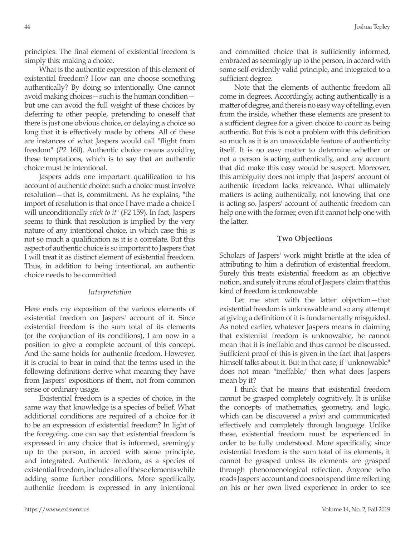principles. The final element of existential freedom is simply this: making a choice.

What is the authentic expression of this element of existential freedom? How can one choose something authentically? By doing so intentionally. One cannot avoid making choices—such is the human condition but one can avoid the full weight of these choices by deferring to other people, pretending to oneself that there is just one obvious choice, or delaying a choice so long that it is effectively made by others. All of these are instances of what Jaspers would call "flight from freedom" (*P2* 160). Authentic choice means avoiding these temptations, which is to say that an authentic choice must be intentional.

Jaspers adds one important qualification to his account of authentic choice: such a choice must involve resolution—that is, commitment. As he explains, "the import of resolution is that once I have made a choice I will unconditionally *stick to it*" (*P2* 159). In fact, Jaspers seems to think that resolution is implied by the very nature of any intentional choice, in which case this is not so much a qualification as it is a correlate. But this aspect of authentic choice is so important to Jaspers that I will treat it as distinct element of existential freedom. Thus, in addition to being intentional, an authentic choice needs to be committed.

# *Interpretation*

Here ends my exposition of the various elements of existential freedom on Jaspers' account of it. Since existential freedom is the sum total of its elements (or the conjunction of its conditions), I am now in a position to give a complete account of this concept. And the same holds for authentic freedom. However, it is crucial to bear in mind that the terms used in the following definitions derive what meaning they have from Jaspers' expositions of them, not from common sense or ordinary usage.

Existential freedom is a species of choice, in the same way that knowledge is a species of belief. What additional conditions are required of a choice for it to be an expression of existential freedom? In light of the foregoing, one can say that existential freedom is expressed in any choice that is informed, seemingly up to the person, in accord with some principle, and integrated. Authentic freedom, as a species of existential freedom, includes all of these elements while adding some further conditions. More specifically, authentic freedom is expressed in any intentional and committed choice that is sufficiently informed, embraced as seemingly up to the person, in accord with some self-evidently valid principle, and integrated to a sufficient degree.

Note that the elements of authentic freedom all come in degrees. Accordingly, acting authentically is a matter of degree, and there is no easy way of telling, even from the inside, whether these elements are present to a sufficient degree for a given choice to count as being authentic. But this is not a problem with this definition so much as it is an unavoidable feature of authenticity itself. It is no easy matter to determine whether or not a person is acting authentically, and any account that did make this easy would be suspect. Moreover, this ambiguity does not imply that Jaspers' account of authentic freedom lacks relevance. What ultimately matters is acting authentically, not knowing that one is acting so. Jaspers' account of authentic freedom can help one with the former, even if it cannot help one with the latter.

## **Two Objections**

Scholars of Jaspers' work might bristle at the idea of attributing to him a definition of existential freedom. Surely this treats existential freedom as an objective notion, and surely it runs afoul of Jaspers' claim that this kind of freedom is unknowable.

Let me start with the latter objection—that existential freedom is unknowable and so any attempt at giving a definition of it is fundamentally misguided. As noted earlier, whatever Jaspers means in claiming that existential freedom is unknowable, he cannot mean that it is ineffable and thus cannot be discussed. Sufficient proof of this is given in the fact that Jaspers himself talks about it. But in that case, if "unknowable" does not mean "ineffable," then what does Jaspers mean by it?

I think that he means that existential freedom cannot be grasped completely cognitively. It is unlike the concepts of mathematics, geometry, and logic, which can be discovered *a priori* and communicated effectively and completely through language. Unlike these, existential freedom must be experienced in order to be fully understood. More specifically, since existential freedom is the sum total of its elements, it cannot be grasped unless its elements are grasped through phenomenological reflection. Anyone who reads Jaspers' account and does not spend time reflecting on his or her own lived experience in order to see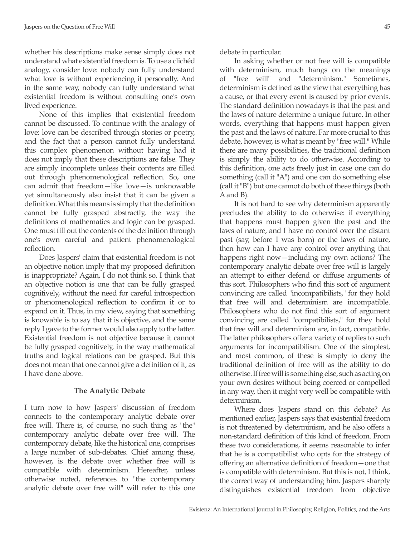whether his descriptions make sense simply does not understand what existential freedom is. To use a clichéd analogy, consider love: nobody can fully understand what love is without experiencing it personally. And in the same way, nobody can fully understand what existential freedom is without consulting one's own lived experience.

None of this implies that existential freedom cannot be discussed. To continue with the analogy of love: love can be described through stories or poetry, and the fact that a person cannot fully understand this complex phenomenon without having had it does not imply that these descriptions are false. They are simply incomplete unless their contents are filled out through phenomenological reflection. So, one can admit that freedom—like love—is unknowable yet simultaneously also insist that it can be given a definition. What this means is simply that the definition cannot be fully grasped abstractly, the way the definitions of mathematics and logic can be grasped. One must fill out the contents of the definition through one's own careful and patient phenomenological reflection.

Does Jaspers' claim that existential freedom is not an objective notion imply that my proposed definition is inappropriate? Again, I do not think so. I think that an objective notion is one that can be fully grasped cognitively, without the need for careful introspection or phenomenological reflection to confirm it or to expand on it. Thus, in my view, saying that something is knowable is to say that it is objective, and the same reply I gave to the former would also apply to the latter. Existential freedom is not objective because it cannot be fully grasped cognitively, in the way mathematical truths and logical relations can be grasped. But this does not mean that one cannot give a definition of it, as I have done above.

# **The Analytic Debate**

I turn now to how Jaspers' discussion of freedom connects to the contemporary analytic debate over free will. There is, of course, no such thing as "the" contemporary analytic debate over free will. The contemporary debate, like the historical one, comprises a large number of sub-debates. Chief among these, however, is the debate over whether free will is compatible with determinism. Hereafter, unless otherwise noted, references to "the contemporary analytic debate over free will" will refer to this one

debate in particular.

In asking whether or not free will is compatible with determinism, much hangs on the meanings of "free will" and "determinism." Sometimes, determinism is defined as the view that everything has a cause, or that every event is caused by prior events. The standard definition nowadays is that the past and the laws of nature determine a unique future. In other words, everything that happens must happen given the past and the laws of nature. Far more crucial to this debate, however, is what is meant by "free will." While there are many possibilities, the traditional definition is simply the ability to do otherwise. According to this definition, one acts freely just in case one can do something (call it "A") and one can do something else (call it "B") but one cannot do both of these things (both A and B).

It is not hard to see why determinism apparently precludes the ability to do otherwise: if everything that happens must happen given the past and the laws of nature, and I have no control over the distant past (say, before I was born) or the laws of nature, then how can I have any control over anything that happens right now—including my own actions? The contemporary analytic debate over free will is largely an attempt to either defend or diffuse arguments of this sort. Philosophers who find this sort of argument convincing are called "incompatibilists," for they hold that free will and determinism are incompatible. Philosophers who do not find this sort of argument convincing are called "compatibilists," for they hold that free will and determinism are, in fact, compatible. The latter philosophers offer a variety of replies to such arguments for incompatibilism. One of the simplest, and most common, of these is simply to deny the traditional definition of free will as the ability to do otherwise. If free will is something else, such as acting on your own desires without being coerced or compelled in any way, then it might very well be compatible with determinism.

Where does Jaspers stand on this debate? As mentioned earlier, Jaspers says that existential freedom is not threatened by determinism, and he also offers a non-standard definition of this kind of freedom. From these two considerations, it seems reasonable to infer that he is a compatibilist who opts for the strategy of offering an alternative definition of freedom—one that is compatible with determinism. But this is not, I think, the correct way of understanding him. Jaspers sharply distinguishes existential freedom from objective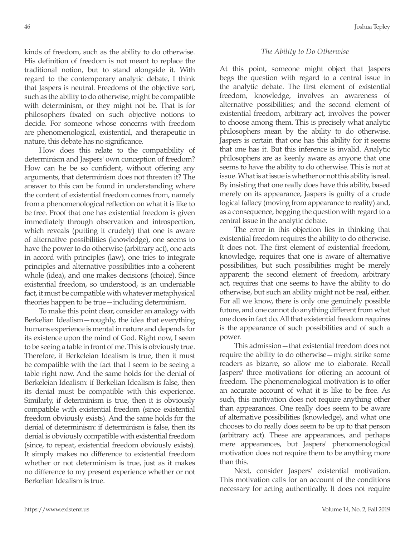kinds of freedom, such as the ability to do otherwise. His definition of freedom is not meant to replace the traditional notion, but to stand alongside it. With regard to the contemporary analytic debate, I think that Jaspers is neutral. Freedoms of the objective sort, such as the ability to do otherwise, might be compatible with determinism, or they might not be. That is for philosophers fixated on such objective notions to decide. For someone whose concerns with freedom are phenomenological, existential, and therapeutic in nature, this debate has no significance.

How does this relate to the compatibility of determinism and Jaspers' own conception of freedom? How can he be so confident, without offering any arguments, that determinism does not threaten it? The answer to this can be found in understanding where the content of existential freedom comes from, namely from a phenomenological reflection on what it is like to be free. Proof that one has existential freedom is given immediately through observation and introspection, which reveals (putting it crudely) that one is aware of alternative possibilities (knowledge), one seems to have the power to do otherwise (arbitrary act), one acts in accord with principles (law), one tries to integrate principles and alternative possibilities into a coherent whole (idea), and one makes decisions (choice). Since existential freedom, so understood, is an undeniable fact, it must be compatible with whatever metaphysical theories happen to be true—including determinism.

To make this point clear, consider an analogy with Berkelian Idealism—roughly, the idea that everything humans experience is mental in nature and depends for its existence upon the mind of God. Right now, I seem to be seeing a table in front of me. This is obviously true. Therefore, if Berkeleian Idealism is true, then it must be compatible with the fact that I seem to be seeing a table right now. And the same holds for the denial of Berkeleian Idealism: if Berkelian Idealism is false, then its denial must be compatible with this experience. Similarly, if determinism is true, then it is obviously compatible with existential freedom (since existential freedom obviously exists). And the same holds for the denial of determinism: if determinism is false, then its denial is obviously compatible with existential freedom (since, to repeat, existential freedom obviously exists). It simply makes no difference to existential freedom whether or not determinism is true, just as it makes no difference to my present experience whether or not Berkelian Idealism is true.

# *The Ability to Do Otherwise*

At this point, someone might object that Jaspers begs the question with regard to a central issue in the analytic debate. The first element of existential freedom, knowledge, involves an awareness of alternative possibilities; and the second element of existential freedom, arbitrary act, involves the power to choose among them. This is precisely what analytic philosophers mean by the ability to do otherwise. Jaspers is certain that one has this ability for it seems that one has it. But this inference is invalid. Analytic philosophers are as keenly aware as anyone that one seems to have the ability to do otherwise. This is not at issue. What is at issue is whether or not this ability is real. By insisting that one really does have this ability, based merely on its appearance, Jaspers is guilty of a crude logical fallacy (moving from appearance to reality) and, as a consequence, begging the question with regard to a central issue in the analytic debate.

The error in this objection lies in thinking that existential freedom requires the ability to do otherwise. It does not. The first element of existential freedom, knowledge, requires that one is aware of alternative possibilities, but such possibilities might be merely apparent; the second element of freedom, arbitrary act, requires that one seems to have the ability to do otherwise, but such an ability might not be real, either. For all we know, there is only one genuinely possible future, and one cannot do anything different from what one does in fact do. All that existential freedom requires is the appearance of such possibilities and of such a power.

This admission—that existential freedom does not require the ability to do otherwise—might strike some readers as bizarre, so allow me to elaborate. Recall Jaspers' three motivations for offering an account of freedom. The phenomenological motivation is to offer an accurate account of what it is like to be free. As such, this motivation does not require anything other than appearances. One really does seem to be aware of alternative possibilities (knowledge), and what one chooses to do really does seem to be up to that person (arbitrary act). These are appearances, and perhaps mere appearances, but Jaspers' phenomenological motivation does not require them to be anything more than this.

Next, consider Jaspers' existential motivation. This motivation calls for an account of the conditions necessary for acting authentically. It does not require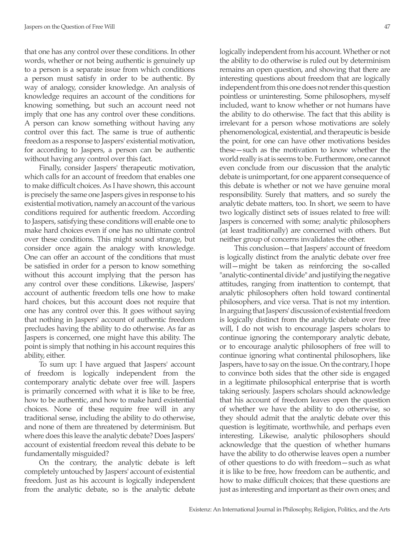that one has any control over these conditions. In other words, whether or not being authentic is genuinely up to a person is a separate issue from which conditions a person must satisfy in order to be authentic. By way of analogy, consider knowledge. An analysis of knowledge requires an account of the conditions for knowing something, but such an account need not imply that one has any control over these conditions. A person can know something without having any control over this fact. The same is true of authentic freedom as a response to Jaspers' existential motivation, for according to Jaspers, a person can be authentic without having any control over this fact.

Finally, consider Jaspers' therapeutic motivation, which calls for an account of freedom that enables one to make difficult choices. As I have shown, this account is precisely the same one Jaspers gives in response to his existential motivation, namely an account of the various conditions required for authentic freedom. According to Jaspers, satisfying these conditions will enable one to make hard choices even if one has no ultimate control over these conditions. This might sound strange, but consider once again the analogy with knowledge. One can offer an account of the conditions that must be satisfied in order for a person to know something without this account implying that the person has any control over these conditions. Likewise, Jaspers' account of authentic freedom tells one how to make hard choices, but this account does not require that one has any control over this. It goes without saying that nothing in Jaspers' account of authentic freedom precludes having the ability to do otherwise. As far as Jaspers is concerned, one might have this ability. The point is simply that nothing in his account requires this ability, either.

To sum up: I have argued that Jaspers' account of freedom is logically independent from the contemporary analytic debate over free will. Jaspers is primarily concerned with what it is like to be free, how to be authentic, and how to make hard existential choices. None of these require free will in any traditional sense, including the ability to do otherwise, and none of them are threatened by determinism. But where does this leave the analytic debate? Does Jaspers' account of existential freedom reveal this debate to be fundamentally misguided?

On the contrary, the analytic debate is left completely untouched by Jaspers' account of existential freedom. Just as his account is logically independent from the analytic debate, so is the analytic debate logically independent from his account. Whether or not the ability to do otherwise is ruled out by determinism remains an open question, and showing that there are interesting questions about freedom that are logically independent from this one does not render this question pointless or uninteresting. Some philosophers, myself included, want to know whether or not humans have the ability to do otherwise. The fact that this ability is irrelevant for a person whose motivations are solely phenomenological, existential, and therapeutic is beside the point, for one can have other motivations besides these—such as the motivation to know whether the world really is at is seems to be. Furthermore, one cannot even conclude from our discussion that the analytic debate is unimportant, for one apparent consequence of this debate is whether or not we have genuine moral responsibility. Surely that matters, and so surely the analytic debate matters, too. In short, we seem to have two logically distinct sets of issues related to free will: Jaspers is concerned with some; analytic philosophers (at least traditionally) are concerned with others. But neither group of concerns invalidates the other.

This conclusion—that Jaspers' account of freedom is logically distinct from the analytic debate over free will—might be taken as reinforcing the so-called "analytic-continental divide" and justifying the negative attitudes, ranging from inattention to contempt, that analytic philosophers often hold toward continental philosophers, and vice versa. That is not my intention. In arguing that Jaspers' discussion of existential freedom is logically distinct from the analytic debate over free will, I do not wish to encourage Jaspers scholars to continue ignoring the contemporary analytic debate, or to encourage analytic philosophers of free will to continue ignoring what continental philosophers, like Jaspers, have to say on the issue. On the contrary, I hope to convince both sides that the other side is engaged in a legitimate philosophical enterprise that is worth taking seriously. Jaspers scholars should acknowledge that his account of freedom leaves open the question of whether we have the ability to do otherwise, so they should admit that the analytic debate over this question is legitimate, worthwhile, and perhaps even interesting. Likewise, analytic philosophers should acknowledge that the question of whether humans have the ability to do otherwise leaves open a number of other questions to do with freedom—such as what it is like to be free, how freedom can be authentic, and how to make difficult choices; that these questions are just as interesting and important as their own ones; and